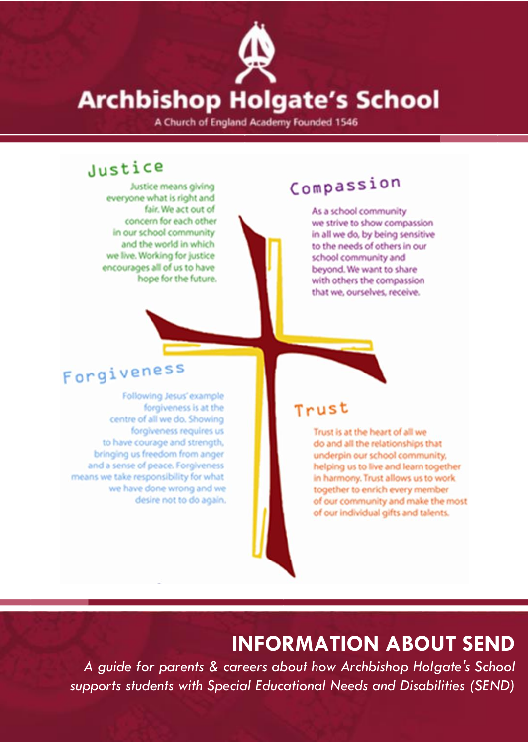

# **Archbishop Holgate's School**

A Church of England Academy Founded 1546

# Justice

Justice means giving everyone what is right and fair. We act out of concern for each other in our school community and the world in which we live. Working for justice encourages all of us to have hope for the future.

# Compassion

As a school community we strive to show compassion in all we do, by being sensitive to the needs of others in our school community and beyond. We want to share with others the compassion that we, ourselves, receive.

# Forgiveness

Following Jesus' example forgiveness is at the centre of all we do. Showing forgiveness requires us to have courage and strength, bringing us freedom from anger and a sense of peace. Forgiveness means we take responsibility for what we have done wrong and we desire not to do again.

# Trust

Trust is at the heart of all we do and all the relationships that underpin our school community, helping us to live and learn together in harmony. Trust allows us to work together to enrich every member of our community and make the most of our individual gifts and talents.

# **INFORMATION ABOUT SEND**

*A guide for parents & careers about how Archbishop Holgate's School supports students with Special Educational Needs and Disabilities (SEND)*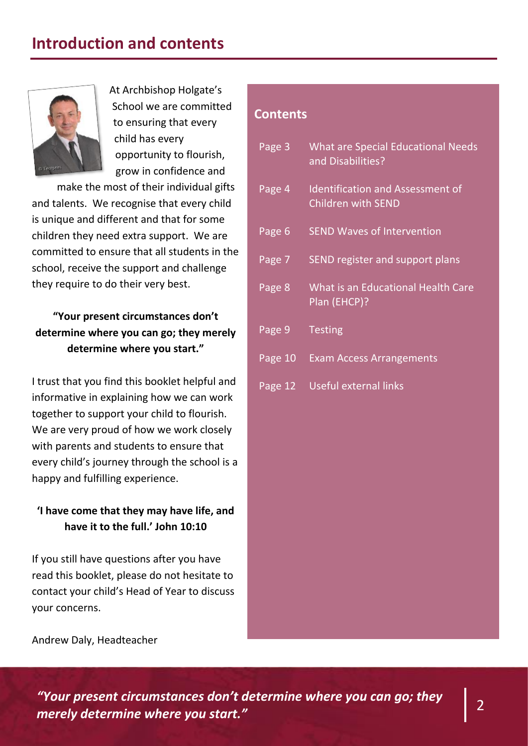### **Introduction and contents**



At Archbishop Holgate's School we are committed to ensuring that every child has every opportunity to flourish, grow in confidence and

make the most of their individual gifts and talents. We recognise that every child is unique and different and that for some children they need extra support. We are committed to ensure that all students in the school, receive the support and challenge they require to do their very best.

### **"Your present circumstances don't determine where you can go; they merely determine where you start."**

I trust that you find this booklet helpful and informative in explaining how we can work together to support your child to flourish. We are very proud of how we work closely with parents and students to ensure that every child's journey through the school is a happy and fulfilling experience.

### **'I have come that they may have life, and have it to the full.' John 10:10**

If you still have questions after you have read this booklet, please do not hesitate to contact your child's Head of Year to discuss your concerns.

#### **Contents**

| Page 3  | <b>What are Special Educational Needs</b><br>and Disabilities?       |
|---------|----------------------------------------------------------------------|
| Page 4  | <b>Identification and Assessment of</b><br><b>Children with SEND</b> |
| Page 6  | <b>SEND Waves of Intervention</b>                                    |
| Page 7  | SEND register and support plans                                      |
| Page 8  | What is an Educational Health Care<br>Plan (EHCP)?                   |
| Page 9  | <b>Testing</b>                                                       |
| Page 10 | <b>Exam Access Arrangements</b>                                      |

Page 12 Useful external links

Andrew Daly, Headteacher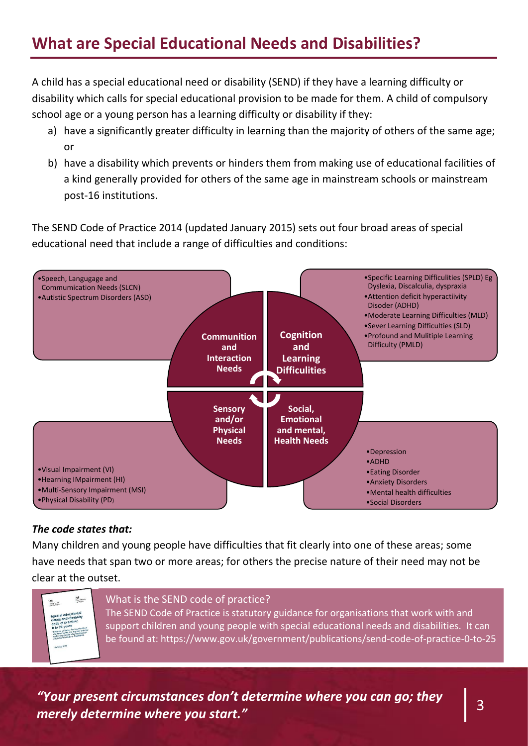# **What are Special Educational Needs and Disabilities?**

A child has a special educational need or disability (SEND) if they have a learning difficulty or disability which calls for special educational provision to be made for them. A child of compulsory school age or a young person has a learning difficulty or disability if they:

- a) have a significantly greater difficulty in learning than the majority of others of the same age; or
- b) have a disability which prevents or hinders them from making use of educational facilities of a kind generally provided for others of the same age in mainstream schools or mainstream post-16 institutions.

The SEND Code of Practice 2014 (updated January 2015) sets out four broad areas of special educational need that include a range of difficulties and conditions:



### *The code states that:*

Many children and young people have difficulties that fit clearly into one of these areas; some have needs that span two or more areas; for others the precise nature of their need may not be clear at the outset.

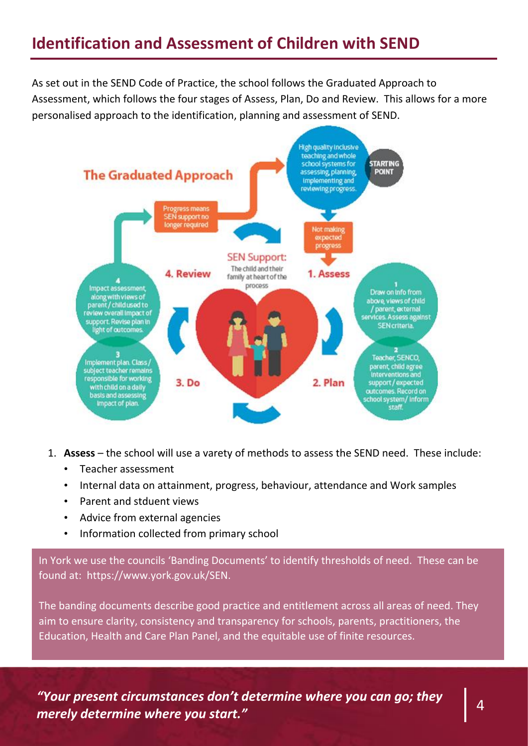## **Identification and Assessment of Children with SEND**

As set out in the SEND Code of Practice, the school follows the Graduated Approach to Assessment, which follows the four stages of Assess, Plan, Do and Review. This allows for a more personalised approach to the identification, planning and assessment of SEND.



- 1. **Assess** the school will use a varety of methods to assess the SEND need. These include:
	- Teacher assessment
	- Internal data on attainment, progress, behaviour, attendance and Work samples
	- Parent and stduent views
	- Advice from external agencies
	- Information collected from primary school

In York we use the councils 'Banding Documents' to identify thresholds of need. These can be found at: https://www.york.gov.uk/SEN.

The banding documents describe good practice and entitlement across all areas of need. They aim to ensure clarity, consistency and transparency for schools, parents, practitioners, the Education, Health and Care Plan Panel, and the equitable use of finite resources.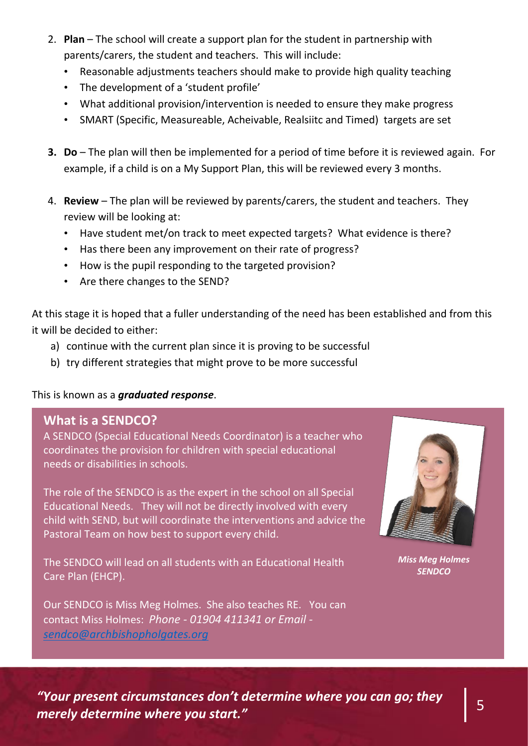- 2. **Plan** The school will create a support plan for the student in partnership with parents/carers, the student and teachers. This will include:
	- Reasonable adjustments teachers should make to provide high quality teaching
	- The development of a 'student profile'
	- What additional provision/intervention is needed to ensure they make progress
	- SMART (Specific, Measureable, Acheivable, Realsiitc and Timed) targets are set
- **3. Do** The plan will then be implemented for a period of time before it is reviewed again. For example, if a child is on a My Support Plan, this will be reviewed every 3 months.
- 4. **Review** The plan will be reviewed by parents/carers, the student and teachers. They review will be looking at:
	- Have student met/on track to meet expected targets? What evidence is there?
	- Has there been any improvement on their rate of progress?
	- How is the pupil responding to the targeted provision?
	- Are there changes to the SEND?

At this stage it is hoped that a fuller understanding of the need has been established and from this it will be decided to either:

- a) continue with the current plan since it is proving to be successful
- b) try different strategies that might prove to be more successful

#### This is known as a *graduated response*.

### **What is a SENDCO?**

A SENDCO (Special Educational Needs Coordinator) is a teacher who coordinates the provision for children with special educational needs or disabilities in schools.

The role of the SENDCO is as the expert in the school on all Special Educational Needs. They will not be directly involved with every child with SEND, but will coordinate the interventions and advice the Pastoral Team on how best to support every child.

The SENDCO will lead on all students with an Educational Health Care Plan (EHCP).

Our SENDCO is Miss Meg Holmes. She also teaches RE. You can contact Miss Holmes: *Phone - 01904 411341 or Email [sendco@archbishopholgates.org](mailto:sendco@archbishopholgates.org)*



*Miss Meg Holmes SENDCO*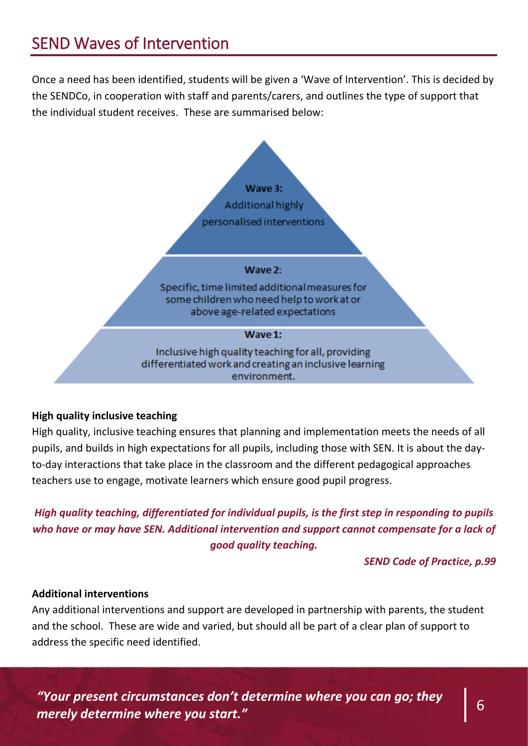Once a need has been identified, students will be given a 'Wave of Intervention'. This is decided by the SENDCo, in cooperation with staff and parents/carers, and outlines the type of support that the individual student receives. These are summarised below:



#### **High quality inclusive teaching**

High quality, inclusive teaching ensures that planning and implementation meets the needs of all pupils, and builds in high expectations for all pupils, including those with SEN. It is about the dayto-day interactions that take place in the classroom and the different pedagogical approaches teachers use to engage, motivate learners which ensure good pupil progress.

### *High quality teaching, differentiated for individual pupils, is the first step in responding to pupils who have or may have SEN. Additional intervention and support cannot compensate for a lack of good quality teaching.*

*SEND Code of Practice, p.99*

#### **Additional interventions**

Any additional interventions and support are developed in partnership with parents, the student and the school. These are wide and varied, but should all be part of a clear plan of support to address the specific need identified.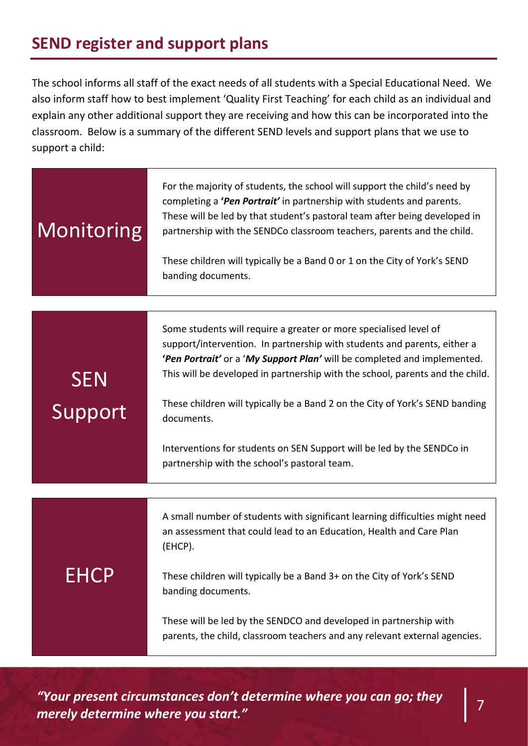## **SEND register and support plans**

The school informs all staff of the exact needs of all students with a Special Educational Need. We also inform staff how to best implement 'Quality First Teaching' for each child as an individual and explain any other additional support they are receiving and how this can be incorporated into the classroom. Below is a summary of the different SEND levels and support plans that we use to support a child:

| Monitoring     | For the majority of students, the school will support the child's need by<br>completing a 'Pen Portrait' in partnership with students and parents.<br>These will be led by that student's pastoral team after being developed in<br>partnership with the SENDCo classroom teachers, parents and the child.<br>These children will typically be a Band 0 or 1 on the City of York's SEND<br>banding documents.                                                                                                                      |
|----------------|------------------------------------------------------------------------------------------------------------------------------------------------------------------------------------------------------------------------------------------------------------------------------------------------------------------------------------------------------------------------------------------------------------------------------------------------------------------------------------------------------------------------------------|
| SEN<br>Support | Some students will require a greater or more specialised level of<br>support/intervention. In partnership with students and parents, either a<br>'Pen Portrait' or a 'My Support Plan' will be completed and implemented.<br>This will be developed in partnership with the school, parents and the child.<br>These children will typically be a Band 2 on the City of York's SEND banding<br>documents.<br>Interventions for students on SEN Support will be led by the SENDCo in<br>partnership with the school's pastoral team. |
| <b>EHCP</b>    | A small number of students with significant learning difficulties might need<br>an assessment that could lead to an Education, Health and Care Plan<br>(EHCP).<br>These children will typically be a Band 3+ on the City of York's SEND<br>banding documents.<br>These will be led by the SENDCO and developed in partnership with<br>parents, the child, classroom teachers and any relevant external agencies.                                                                                                                   |

*"Your present circumstances don't determine where you can go; they merely determine where you start." 7*<br>*merely determine where you start."*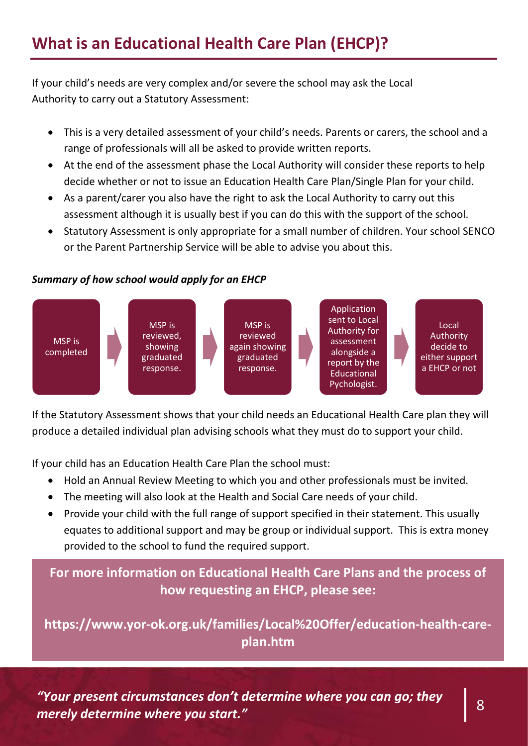# **What is an Educational Health Care Plan (EHCP)?**

If your child's needs are very complex and/or severe the school may ask the Local Authority to carry out a Statutory Assessment:

- This is a very detailed assessment of your child's needs. Parents or carers, the school and a range of professionals will all be asked to provide written reports.
- At the end of the assessment phase the Local Authority will consider these reports to help decide whether or not to issue an Education Health Care Plan/Single Plan for your child.
- As a parent/carer you also have the right to ask the Local Authority to carry out this assessment although it is usually best if you can do this with the support of the school.
- Statutory Assessment is only appropriate for a small number of children. Your school SENCO or the Parent Partnership Service will be able to advise you about this.

#### *Summary of how school would apply for an EHCP*



If the Statutory Assessment shows that your child needs an Educational Health Care plan they will produce a detailed individual plan advising schools what they must do to support your child.

If your child has an Education Health Care Plan the school must:

- Hold an Annual Review Meeting to which you and other professionals must be invited.
- The meeting will also look at the Health and Social Care needs of your child.
- Provide your child with the full range of support specified in their statement. This usually equates to additional support and may be group or individual support. This is extra money provided to the school to fund the required support.

**For more information on Educational Health Care Plans and the process of how requesting an EHCP, please see:**

**https://www.yor-ok.org.uk/families/Local%20Offer/education-health-careplan.htm**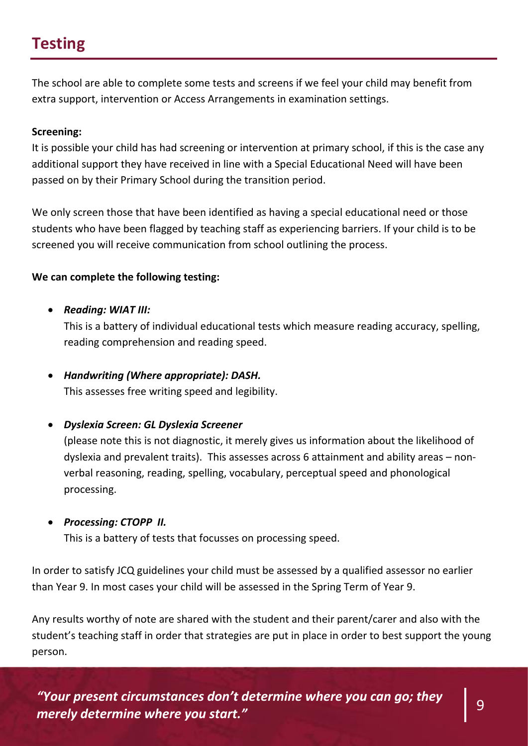# **Testing**

The school are able to complete some tests and screens if we feel your child may benefit from extra support, intervention or Access Arrangements in examination settings.

### **Screening:**

It is possible your child has had screening or intervention at primary school, if this is the case any additional support they have received in line with a Special Educational Need will have been passed on by their Primary School during the transition period.

We only screen those that have been identified as having a special educational need or those students who have been flagged by teaching staff as experiencing barriers. If your child is to be screened you will receive communication from school outlining the process.

#### **We can complete the following testing:**

• *Reading: WIAT III:*

This is a battery of individual educational tests which measure reading accuracy, spelling, reading comprehension and reading speed.

• *Handwriting (Where appropriate): DASH.* 

This assesses free writing speed and legibility.

### • *Dyslexia Screen: GL Dyslexia Screener*

(please note this is not diagnostic, it merely gives us information about the likelihood of dyslexia and prevalent traits). This assesses across 6 attainment and ability areas – nonverbal reasoning, reading, spelling, vocabulary, perceptual speed and phonological processing.

### • *Processing: CTOPP II.*

This is a battery of tests that focusses on processing speed.

In order to satisfy JCQ guidelines your child must be assessed by a qualified assessor no earlier than Year 9. In most cases your child will be assessed in the Spring Term of Year 9.

Any results worthy of note are shared with the student and their parent/carer and also with the student's teaching staff in order that strategies are put in place in order to best support the young person.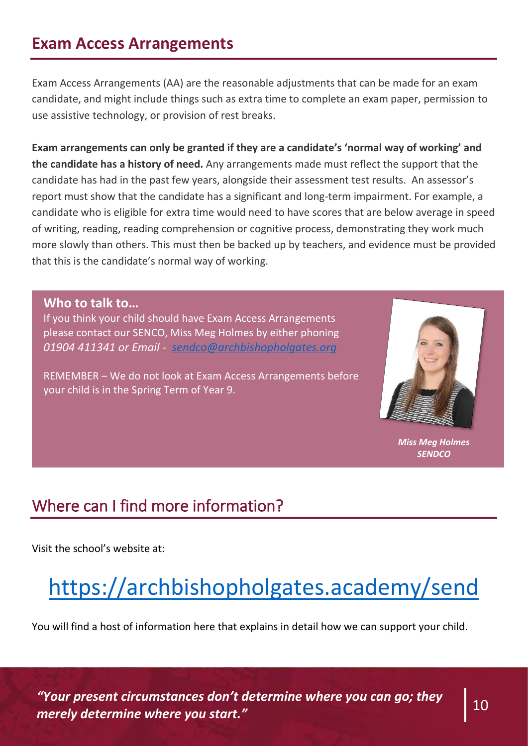### **Exam Access Arrangements**

Exam Access Arrangements (AA) are the reasonable adjustments that can be made for an exam candidate, and might include things such as extra time to complete an exam paper, permission to use assistive technology, or provision of rest breaks.

**Exam arrangements can only be granted if they are a candidate's 'normal way of working' and the candidate has a history of need.** Any arrangements made must reflect the support that the candidate has had in the past few years, alongside their assessment test results. An assessor's report must show that the candidate has a significant and long-term impairment. For example, a candidate who is eligible for extra time would need to have scores that are below average in speed of writing, reading, reading comprehension or cognitive process, demonstrating they work much more slowly than others. This must then be backed up by teachers, and evidence must be provided that this is the candidate's normal way of working.

### **Who to talk to…**

If you think your child should have Exam Access Arrangements please contact our SENCO, Miss Meg Holmes by either phoning *01904 411341 or Email - [sendco@archbishopholgates.org](mailto:sendco@archbishopholgates.org)*

REMEMBER – We do not look at Exam Access Arrangements before your child is in the Spring Term of Year 9.



*Miss Meg Holmes SENDCO*

# Where can I find more information?

Visit the school's website at:

# <https://archbishopholgates.academy/send>

You will find a host of information here that explains in detail how we can support your child.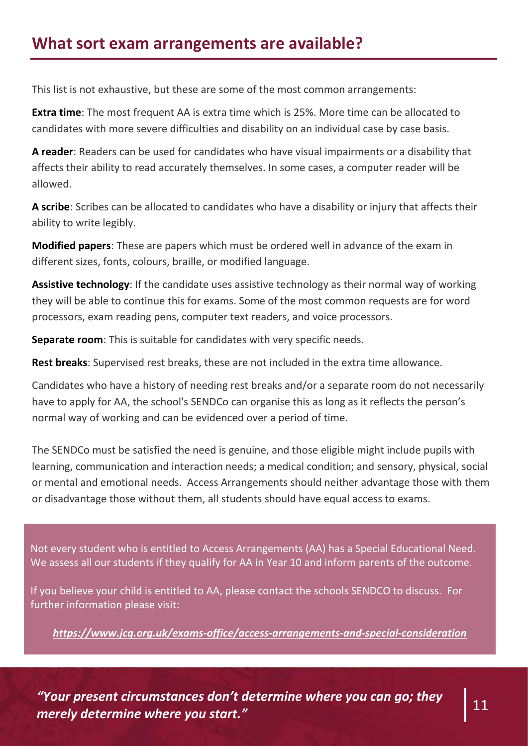### **What sort exam arrangements are available?**

This list is not exhaustive, but these are some of the most common arrangements:

**Extra time**: The most frequent AA is extra time which is 25%. More time can be allocated to candidates with more severe difficulties and disability on an individual case by case basis.

**A reader**: Readers can be used for candidates who have visual impairments or a disability that affects their ability to read accurately themselves. In some cases, a computer reader will be allowed.

**A scribe**: Scribes can be allocated to candidates who have a disability or injury that affects their ability to write legibly.

**Modified papers**: These are papers which must be ordered well in advance of the exam in different sizes, fonts, colours, braille, or modified language.

**Assistive technology**: If the candidate uses assistive technology as their normal way of working they will be able to continue this for exams. Some of the most common requests are for word processors, exam reading pens, computer text readers, and voice processors.

**Separate room**: This is suitable for candidates with very specific needs.

**Rest breaks**: Supervised rest breaks, these are not included in the extra time allowance.

Candidates who have a history of needing rest breaks and/or a separate room do not necessarily have to apply for AA, the school's SENDCo can organise this as long as it reflects the person's normal way of working and can be evidenced over a period of time.

The SENDCo must be satisfied the need is genuine, and those eligible might include pupils with learning, communication and interaction needs; a medical condition; and sensory, physical, social or mental and emotional needs. Access Arrangements should neither advantage those with them or disadvantage those without them, all students should have equal access to exams.

Not every student who is entitled to Access Arrangements (AA) has a Special Educational Need. We assess all our students if they qualify for AA in Year 10 and inform parents of the outcome.

If you believe your child is entitled to AA, please contact the schools SENDCO to discuss. For further information please visit:

*<https://www.jcq.org.uk/exams-office/access-arrangements-and-special-consideration>*

*"Your present circumstances don't determine where you can go; they merely determine where you start."* The *merely determine where you start."*